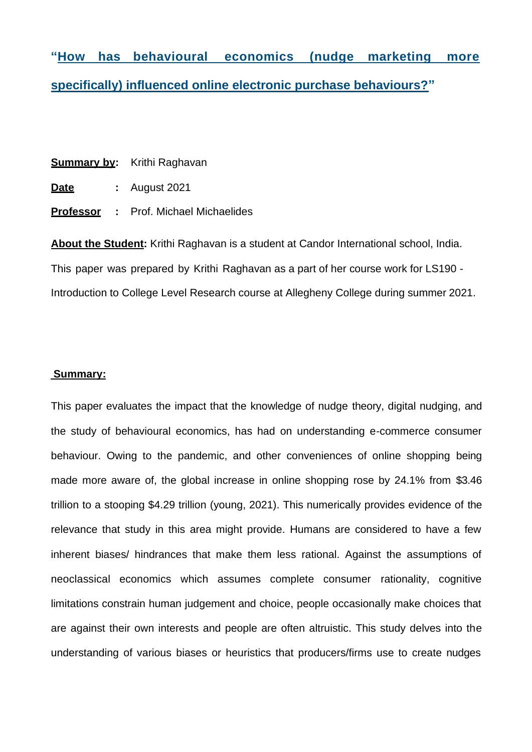**"How has behavioural economics (nudge marketing more specifically) influenced online electronic purchase behaviours?"**

|             |  | <b>Summary by:</b> Krithi Raghavan           |
|-------------|--|----------------------------------------------|
| <u>Date</u> |  | $:$ August 2021                              |
|             |  | <b>Professor</b> : Prof. Michael Michaelides |

**About the Student:** Krithi Raghavan is a student at Candor International school, India. This paper was prepared by Krithi Raghavan as a part of her course work for LS190 - Introduction to College Level Research course at Allegheny College during summer 2021.

# **Summary:**

This paper evaluates the impact that the knowledge of nudge theory, digital nudging, and the study of behavioural economics, has had on understanding e-commerce consumer behaviour. Owing to the pandemic, and other conveniences of online shopping being made more aware of, the global increase in online shopping rose by 24.1% from \$3.46 trillion to a stooping \$4.29 trillion (young, 2021). This numerically provides evidence of the relevance that study in this area might provide. Humans are considered to have a few inherent biases/ hindrances that make them less rational. Against the assumptions of neoclassical economics which assumes complete consumer rationality, cognitive limitations constrain human judgement and choice, people occasionally make choices that are against their own interests and people are often altruistic. This study delves into the understanding of various biases or heuristics that producers/firms use to create nudges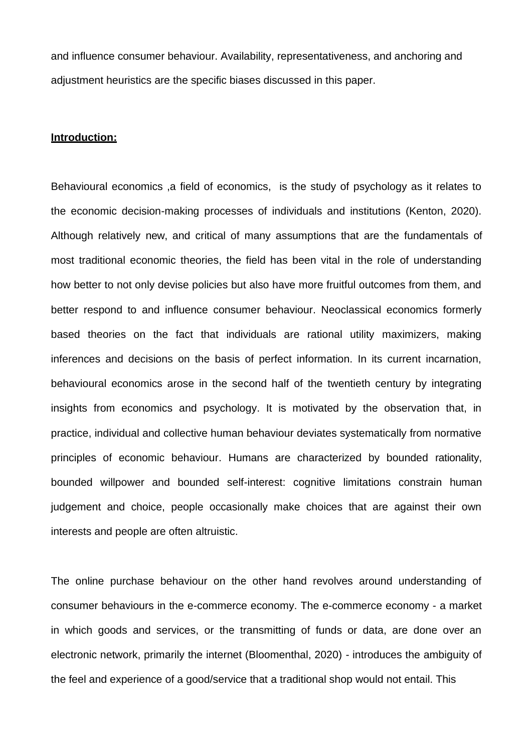and influence consumer behaviour. Availability, representativeness, and anchoring and adjustment heuristics are the specific biases discussed in this paper.

#### **Introduction:**

Behavioural economics ,a field of economics, is the study of psychology as it relates to the economic decision-making processes of individuals and institutions (Kenton, 2020). Although relatively new, and critical of many assumptions that are the fundamentals of most traditional economic theories, the field has been vital in the role of understanding how better to not only devise policies but also have more fruitful outcomes from them, and better respond to and influence consumer behaviour. Neoclassical economics formerly based theories on the fact that individuals are rational utility maximizers, making inferences and decisions on the basis of perfect information. In its current incarnation, behavioural economics arose in the second half of the twentieth century by integrating insights from economics and psychology. It is motivated by the observation that, in practice, individual and collective human behaviour deviates systematically from normative principles of economic behaviour. Humans are characterized by bounded rationality, bounded willpower and bounded self-interest: cognitive limitations constrain human judgement and choice, people occasionally make choices that are against their own interests and people are often altruistic.

The online purchase behaviour on the other hand revolves around understanding of consumer behaviours in the e-commerce economy. The e-commerce economy - a market in which goods and services, or the transmitting of funds or data, are done over an electronic network, primarily the internet (Bloomenthal, 2020) - introduces the ambiguity of the feel and experience of a good/service that a traditional shop would not entail. This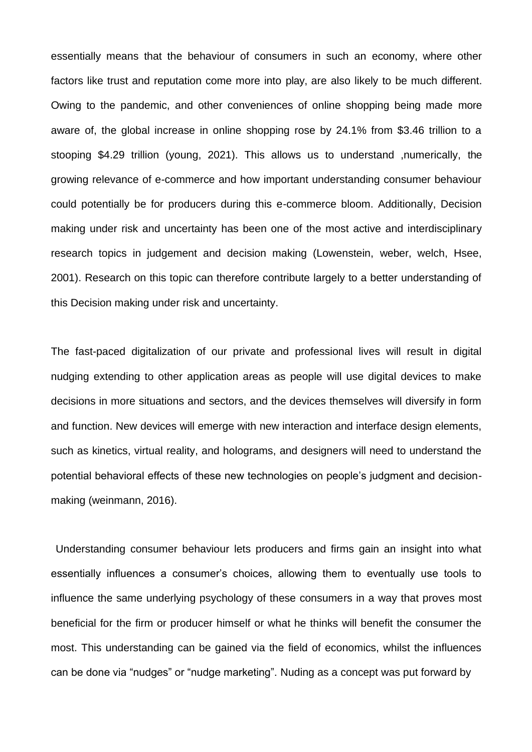essentially means that the behaviour of consumers in such an economy, where other factors like trust and reputation come more into play, are also likely to be much different. Owing to the pandemic, and other conveniences of online shopping being made more aware of, the global increase in online shopping rose by 24.1% from \$3.46 trillion to a stooping \$4.29 trillion (young, 2021). This allows us to understand ,numerically, the growing relevance of e-commerce and how important understanding consumer behaviour could potentially be for producers during this e-commerce bloom. Additionally, Decision making under risk and uncertainty has been one of the most active and interdisciplinary research topics in judgement and decision making (Lowenstein, weber, welch, Hsee, 2001). Research on this topic can therefore contribute largely to a better understanding of this Decision making under risk and uncertainty.

The fast-paced digitalization of our private and professional lives will result in digital nudging extending to other application areas as people will use digital devices to make decisions in more situations and sectors, and the devices themselves will diversify in form and function. New devices will emerge with new interaction and interface design elements, such as kinetics, virtual reality, and holograms, and designers will need to understand the potential behavioral effects of these new technologies on people's judgment and decisionmaking (weinmann, 2016).

Understanding consumer behaviour lets producers and firms gain an insight into what essentially influences a consumer's choices, allowing them to eventually use tools to influence the same underlying psychology of these consumers in a way that proves most beneficial for the firm or producer himself or what he thinks will benefit the consumer the most. This understanding can be gained via the field of economics, whilst the influences can be done via "nudges" or "nudge marketing". Nuding as a concept was put forward by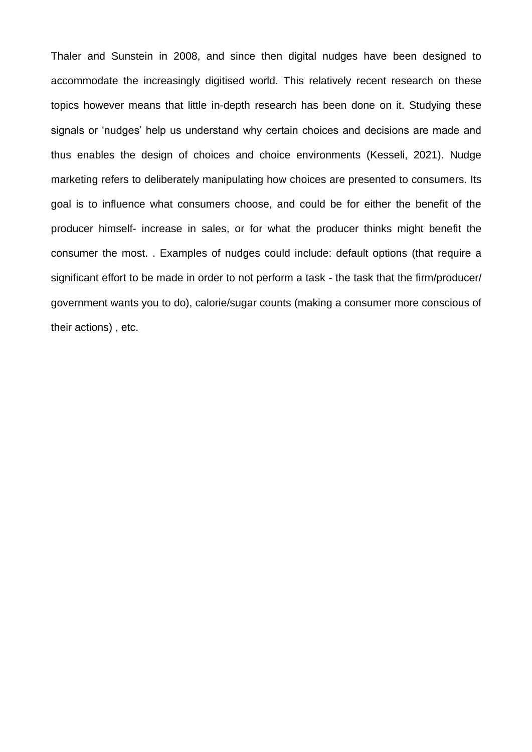Thaler and Sunstein in 2008, and since then digital nudges have been designed to accommodate the increasingly digitised world. This relatively recent research on these topics however means that little in-depth research has been done on it. Studying these signals or 'nudges' help us understand why certain choices and decisions are made and thus enables the design of choices and choice environments (Kesseli, 2021). Nudge marketing refers to deliberately manipulating how choices are presented to consumers. Its goal is to influence what consumers choose, and could be for either the benefit of the producer himself- increase in sales, or for what the producer thinks might benefit the consumer the most. . Examples of nudges could include: default options (that require a significant effort to be made in order to not perform a task - the task that the firm/producer/ government wants you to do), calorie/sugar counts (making a consumer more conscious of their actions) , etc.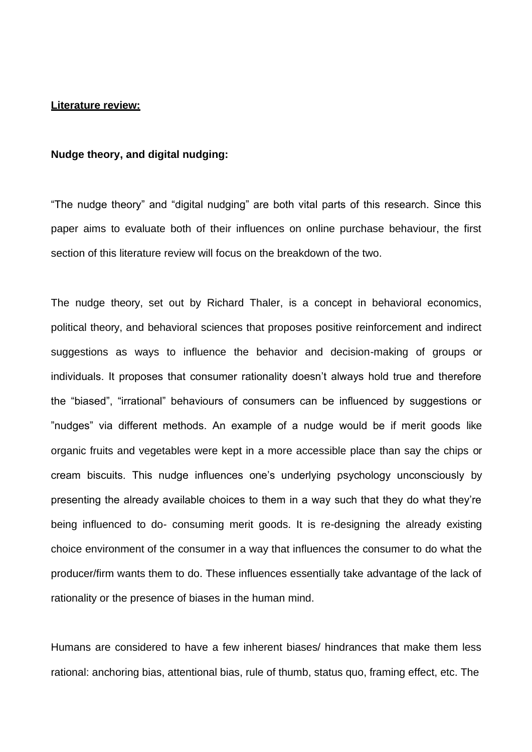#### **Literature review:**

#### **Nudge theory, and digital nudging:**

"The nudge theory" and "digital nudging" are both vital parts of this research. Since this paper aims to evaluate both of their influences on online purchase behaviour, the first section of this literature review will focus on the breakdown of the two.

The nudge theory, set out by Richard Thaler, is a concept in behavioral economics, political theory, and behavioral sciences that proposes positive reinforcement and indirect suggestions as ways to influence the behavior and decision-making of groups or individuals. It proposes that consumer rationality doesn't always hold true and therefore the "biased", "irrational" behaviours of consumers can be influenced by suggestions or "nudges" via different methods. An example of a nudge would be if merit goods like organic fruits and vegetables were kept in a more accessible place than say the chips or cream biscuits. This nudge influences one's underlying psychology unconsciously by presenting the already available choices to them in a way such that they do what they're being influenced to do- consuming merit goods. It is re-designing the already existing choice environment of the consumer in a way that influences the consumer to do what the producer/firm wants them to do. These influences essentially take advantage of the lack of rationality or the presence of biases in the human mind.

Humans are considered to have a few inherent biases/ hindrances that make them less rational: anchoring bias, attentional bias, rule of thumb, status quo, framing effect, etc. The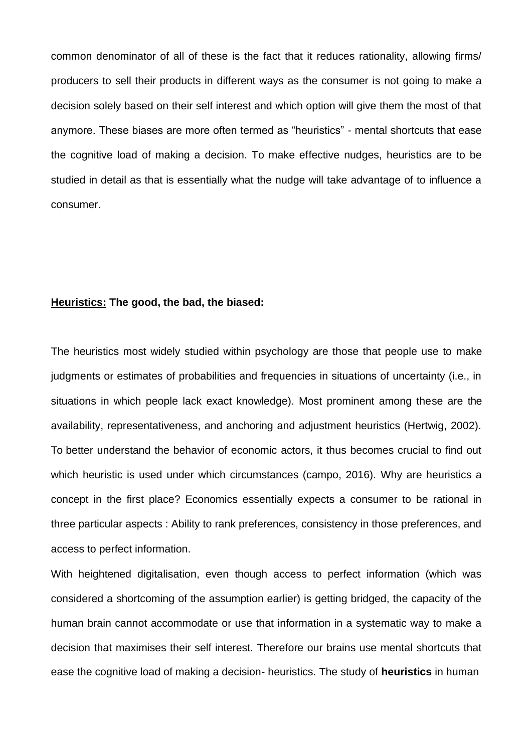common denominator of all of these is the fact that it reduces rationality, allowing firms/ producers to sell their products in different ways as the consumer is not going to make a decision solely based on their self interest and which option will give them the most of that anymore. These biases are more often termed as "heuristics" - mental shortcuts that ease the cognitive load of making a decision. To make effective nudges, heuristics are to be studied in detail as that is essentially what the nudge will take advantage of to influence a consumer.

## **Heuristics: The good, the bad, the biased:**

The heuristics most widely studied within psychology are those that people use to make judgments or estimates of probabilities and frequencies in situations of uncertainty (i.e., in situations in which people lack exact knowledge). Most prominent among these are the availability, representativeness, and anchoring and adjustment heuristics (Hertwig, 2002). To better understand the behavior of economic actors, it thus becomes crucial to find out which heuristic is used under which circumstances (campo, 2016). Why are heuristics a concept in the first place? Economics essentially expects a consumer to be rational in three particular aspects : Ability to rank preferences, consistency in those preferences, and access to perfect information.

With heightened digitalisation, even though access to perfect information (which was considered a shortcoming of the assumption earlier) is getting bridged, the capacity of the human brain cannot accommodate or use that information in a systematic way to make a decision that maximises their self interest. Therefore our brains use mental shortcuts that ease the cognitive load of making a decision- heuristics. The study of **heuristics** in human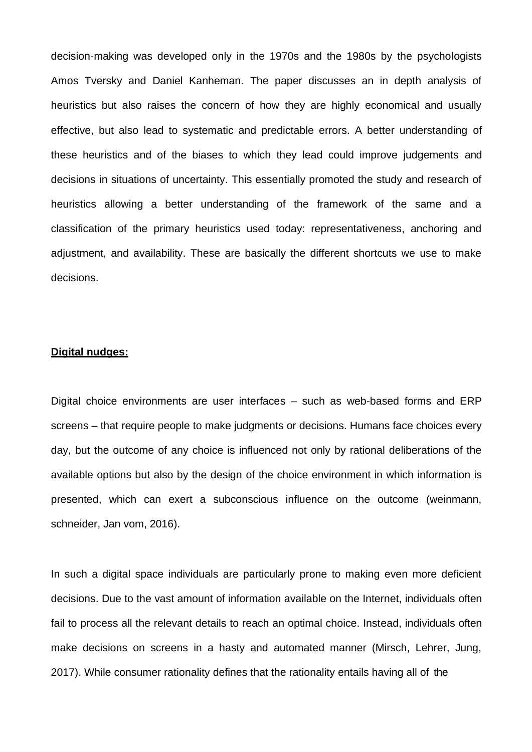decision-making was developed only in the 1970s and the 1980s by the psychologists Amos Tversky and Daniel Kanheman. The paper discusses an in depth analysis of heuristics but also raises the concern of how they are highly economical and usually effective, but also lead to systematic and predictable errors. A better understanding of these heuristics and of the biases to which they lead could improve judgements and decisions in situations of uncertainty. This essentially promoted the study and research of heuristics allowing a better understanding of the framework of the same and a classification of the primary heuristics used today: representativeness, anchoring and adjustment, and availability. These are basically the different shortcuts we use to make decisions.

#### **Digital nudges:**

Digital choice environments are user interfaces – such as web-based forms and ERP screens – that require people to make judgments or decisions. Humans face choices every day, but the outcome of any choice is influenced not only by rational deliberations of the available options but also by the design of the choice environment in which information is presented, which can exert a subconscious influence on the outcome (weinmann, schneider, Jan vom, 2016).

In such a digital space individuals are particularly prone to making even more deficient decisions. Due to the vast amount of information available on the Internet, individuals often fail to process all the relevant details to reach an optimal choice. Instead, individuals often make decisions on screens in a hasty and automated manner (Mirsch, Lehrer, Jung, 2017). While consumer rationality defines that the rationality entails having all of the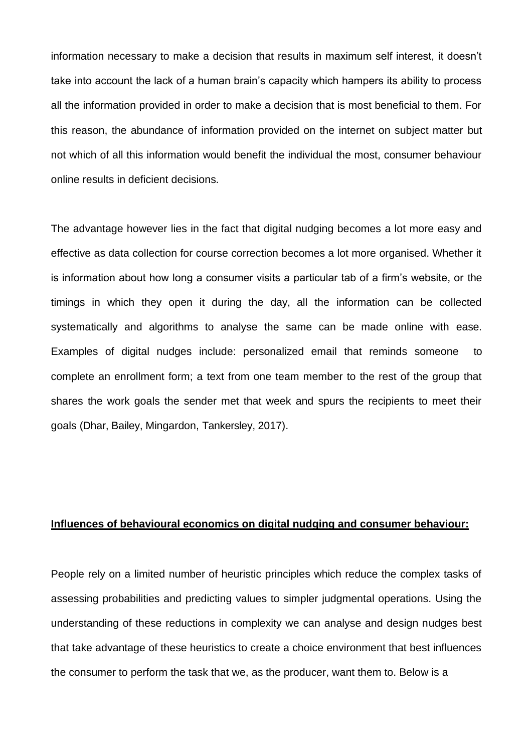information necessary to make a decision that results in maximum self interest, it doesn't take into account the lack of a human brain's capacity which hampers its ability to process all the information provided in order to make a decision that is most beneficial to them. For this reason, the abundance of information provided on the internet on subject matter but not which of all this information would benefit the individual the most, consumer behaviour online results in deficient decisions.

The advantage however lies in the fact that digital nudging becomes a lot more easy and effective as data collection for course correction becomes a lot more organised. Whether it is information about how long a consumer visits a particular tab of a firm's website, or the timings in which they open it during the day, all the information can be collected systematically and algorithms to analyse the same can be made online with ease. Examples of digital nudges include: personalized email that reminds someone to complete an enrollment form; a text from one team member to the rest of the group that shares the work goals the sender met that week and spurs the recipients to meet their goals (Dhar, Bailey, Mingardon, Tankersley, 2017).

#### **Influences of behavioural economics on digital nudging and consumer behaviour:**

People rely on a limited number of heuristic principles which reduce the complex tasks of assessing probabilities and predicting values to simpler judgmental operations. Using the understanding of these reductions in complexity we can analyse and design nudges best that take advantage of these heuristics to create a choice environment that best influences the consumer to perform the task that we, as the producer, want them to. Below is a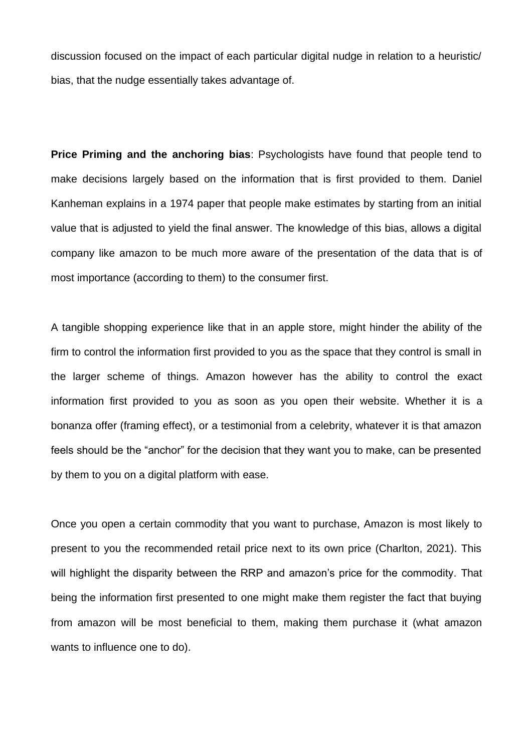discussion focused on the impact of each particular digital nudge in relation to a heuristic/ bias, that the nudge essentially takes advantage of.

**Price Priming and the anchoring bias**: Psychologists have found that people tend to make decisions largely based on the information that is first provided to them. Daniel Kanheman explains in a 1974 paper that people make estimates by starting from an initial value that is adjusted to yield the final answer. The knowledge of this bias, allows a digital company like amazon to be much more aware of the presentation of the data that is of most importance (according to them) to the consumer first.

A tangible shopping experience like that in an apple store, might hinder the ability of the firm to control the information first provided to you as the space that they control is small in the larger scheme of things. Amazon however has the ability to control the exact information first provided to you as soon as you open their website. Whether it is a bonanza offer (framing effect), or a testimonial from a celebrity, whatever it is that amazon feels should be the "anchor" for the decision that they want you to make, can be presented by them to you on a digital platform with ease.

Once you open a certain commodity that you want to purchase, Amazon is most likely to present to you the recommended retail price next to its own price (Charlton, 2021). This will highlight the disparity between the RRP and amazon's price for the commodity. That being the information first presented to one might make them register the fact that buying from amazon will be most beneficial to them, making them purchase it (what amazon wants to influence one to do).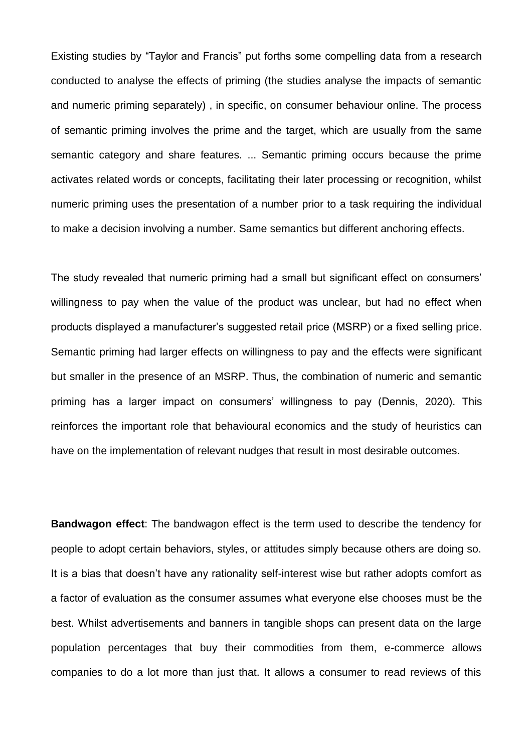Existing studies by "Taylor and Francis" put forths some compelling data from a research conducted to analyse the effects of priming (the studies analyse the impacts of semantic and numeric priming separately) , in specific, on consumer behaviour online. The process of semantic priming involves the prime and the target, which are usually from the same semantic category and share features. ... Semantic priming occurs because the prime activates related words or concepts, facilitating their later processing or recognition, whilst numeric priming uses the presentation of a number prior to a task requiring the individual to make a decision involving a number. Same semantics but different anchoring effects.

The study revealed that numeric priming had a small but significant effect on consumers' willingness to pay when the value of the product was unclear, but had no effect when products displayed a manufacturer's suggested retail price (MSRP) or a fixed selling price. Semantic priming had larger effects on willingness to pay and the effects were significant but smaller in the presence of an MSRP. Thus, the combination of numeric and semantic priming has a larger impact on consumers' willingness to pay (Dennis, 2020). This reinforces the important role that behavioural economics and the study of heuristics can have on the implementation of relevant nudges that result in most desirable outcomes.

**Bandwagon effect**: The bandwagon effect is the term used to describe the tendency for people to adopt certain behaviors, styles, or attitudes simply because others are doing so. It is a bias that doesn't have any rationality self-interest wise but rather adopts comfort as a factor of evaluation as the consumer assumes what everyone else chooses must be the best. Whilst advertisements and banners in tangible shops can present data on the large population percentages that buy their commodities from them, e-commerce allows companies to do a lot more than just that. It allows a consumer to read reviews of this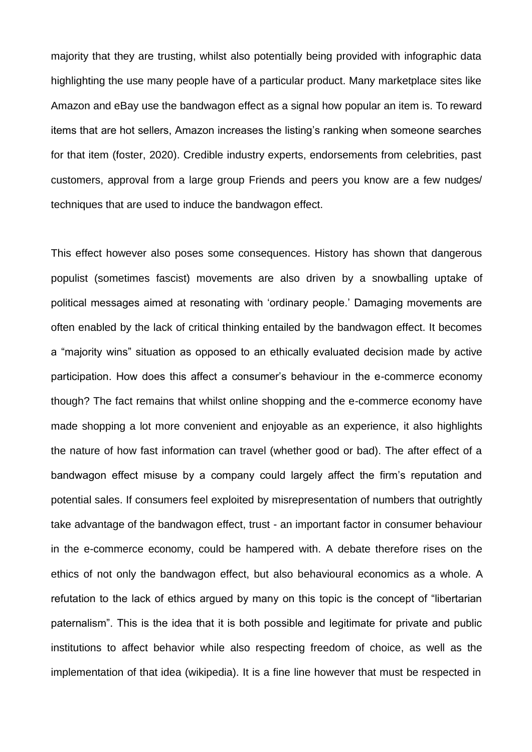majority that they are trusting, whilst also potentially being provided with infographic data highlighting the use many people have of a particular product. Many marketplace sites like Amazon and eBay use the bandwagon effect as a signal how popular an item is. To reward items that are hot sellers, Amazon increases the listing's ranking when someone searches for that item (foster, 2020). Credible industry experts, endorsements from celebrities, past customers, approval from a large group Friends and peers you know are a few nudges/ techniques that are used to induce the bandwagon effect.

This effect however also poses some consequences. History has shown that dangerous populist (sometimes fascist) movements are also driven by a snowballing uptake of political messages aimed at resonating with 'ordinary people.' Damaging movements are often enabled by the lack of critical thinking entailed by the bandwagon effect. It becomes a "majority wins" situation as opposed to an ethically evaluated decision made by active participation. How does this affect a consumer's behaviour in the e-commerce economy though? The fact remains that whilst online shopping and the e-commerce economy have made shopping a lot more convenient and enjoyable as an experience, it also highlights the nature of how fast information can travel (whether good or bad). The after effect of a bandwagon effect misuse by a company could largely affect the firm's reputation and potential sales. If consumers feel exploited by misrepresentation of numbers that outrightly take advantage of the bandwagon effect, trust - an important factor in consumer behaviour in the e-commerce economy, could be hampered with. A debate therefore rises on the ethics of not only the bandwagon effect, but also behavioural economics as a whole. A refutation to the lack of ethics argued by many on this topic is the concept of "libertarian paternalism". This is the idea that it is both possible and legitimate for private and public institutions to affect behavior while also respecting freedom of choice, as well as the implementation of that idea (wikipedia). It is a fine line however that must be respected in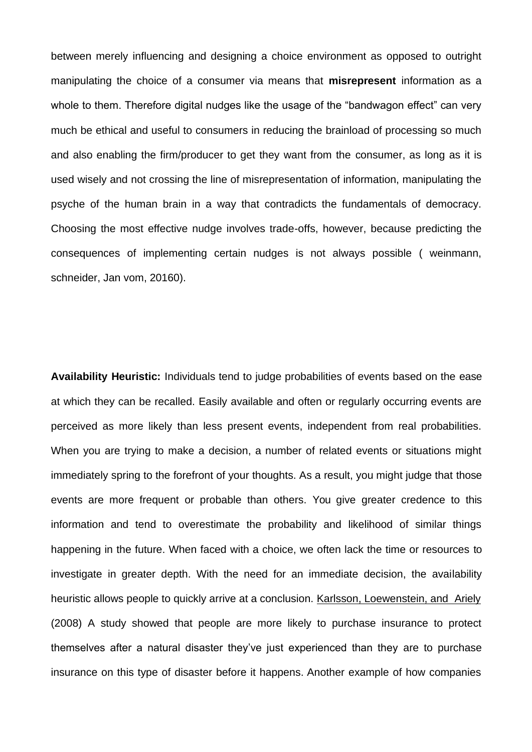between merely influencing and designing a choice environment as opposed to outright manipulating the choice of a consumer via means that **misrepresent** information as a whole to them. Therefore digital nudges like the usage of the "bandwagon effect" can very much be ethical and useful to consumers in reducing the brainload of processing so much and also enabling the firm/producer to get they want from the consumer, as long as it is used wisely and not crossing the line of misrepresentation of information, manipulating the psyche of the human brain in a way that contradicts the fundamentals of democracy. Choosing the most effective nudge involves trade-offs, however, because predicting the consequences of implementing certain nudges is not always possible ( weinmann, schneider, Jan vom, 20160).

**Availability Heuristic:** Individuals tend to judge probabilities of events based on the ease at which they can be recalled. Easily available and often or regularly occurring events are perceived as more likely than less present events, independent from real probabilities. When you are trying to make a decision, a number of related events or situations might immediately spring to the forefront of your thoughts. As a result, you might judge that those events are more frequent or probable than others. You give greater credence to this information and tend to overestimate the probability and likelihood of similar things happening in the future. When faced with a choice, we often lack the time or resources to investigate in greater depth. With the need for an immediate decision, the availability heuristic allows people to quickly arrive at a conclusion. Karlsson, Loewenstein, and Ariely (2008) A study showed that people are more likely to purchase insurance to protect themselves after a natural disaster they've just experienced than they are to purchase insurance on this type of disaster before it happens. Another example of how companies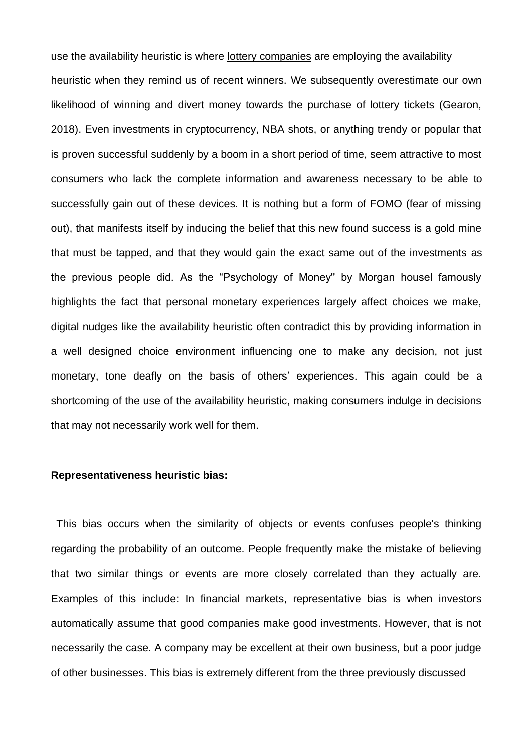use the availability heuristic is where lottery companies are employing the availability heuristic when they remind us of recent winners. We subsequently overestimate our own likelihood of winning and divert money towards the purchase of lottery tickets (Gearon, 2018). Even investments in cryptocurrency, NBA shots, or anything trendy or popular that is proven successful suddenly by a boom in a short period of time, seem attractive to most consumers who lack the complete information and awareness necessary to be able to successfully gain out of these devices. It is nothing but a form of FOMO (fear of missing out), that manifests itself by inducing the belief that this new found success is a gold mine that must be tapped, and that they would gain the exact same out of the investments as the previous people did. As the "Psychology of Money'' by Morgan housel famously highlights the fact that personal monetary experiences largely affect choices we make, digital nudges like the availability heuristic often contradict this by providing information in a well designed choice environment influencing one to make any decision, not just monetary, tone deafly on the basis of others' experiences. This again could be a shortcoming of the use of the availability heuristic, making consumers indulge in decisions that may not necessarily work well for them.

#### **Representativeness heuristic bias:**

This bias occurs when the similarity of objects or events confuses people's thinking regarding the probability of an outcome. People frequently make the mistake of believing that two similar things or events are more closely correlated than they actually are. Examples of this include: In financial markets, representative bias is when investors automatically assume that good companies make good investments. However, that is not necessarily the case. A company may be excellent at their own business, but a poor judge of other businesses. This bias is extremely different from the three previously discussed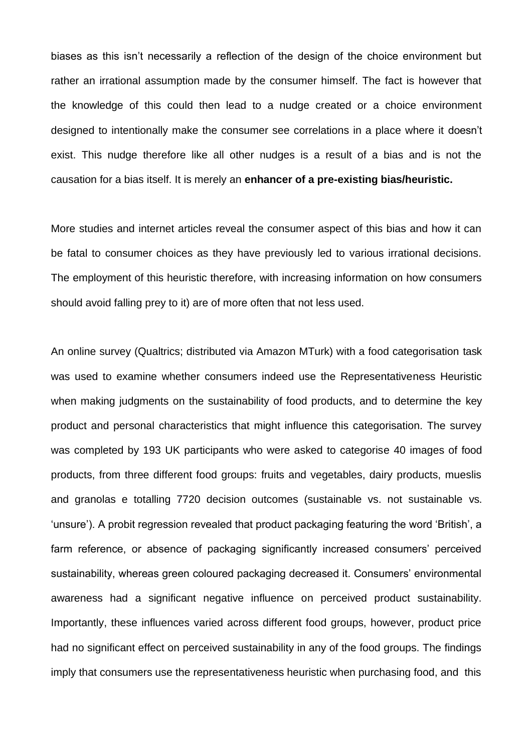biases as this isn't necessarily a reflection of the design of the choice environment but rather an irrational assumption made by the consumer himself. The fact is however that the knowledge of this could then lead to a nudge created or a choice environment designed to intentionally make the consumer see correlations in a place where it doesn't exist. This nudge therefore like all other nudges is a result of a bias and is not the causation for a bias itself. It is merely an **enhancer of a pre-existing bias/heuristic.**

More studies and internet articles reveal the consumer aspect of this bias and how it can be fatal to consumer choices as they have previously led to various irrational decisions. The employment of this heuristic therefore, with increasing information on how consumers should avoid falling prey to it) are of more often that not less used.

An online survey (Qualtrics; distributed via Amazon MTurk) with a food categorisation task was used to examine whether consumers indeed use the Representativeness Heuristic when making judgments on the sustainability of food products, and to determine the key product and personal characteristics that might influence this categorisation. The survey was completed by 193 UK participants who were asked to categorise 40 images of food products, from three different food groups: fruits and vegetables, dairy products, mueslis and granolas e totalling 7720 decision outcomes (sustainable vs. not sustainable vs. 'unsure'). A probit regression revealed that product packaging featuring the word 'British', a farm reference, or absence of packaging significantly increased consumers' perceived sustainability, whereas green coloured packaging decreased it. Consumers' environmental awareness had a significant negative influence on perceived product sustainability. Importantly, these influences varied across different food groups, however, product price had no significant effect on perceived sustainability in any of the food groups. The findings imply that consumers use the representativeness heuristic when purchasing food, and this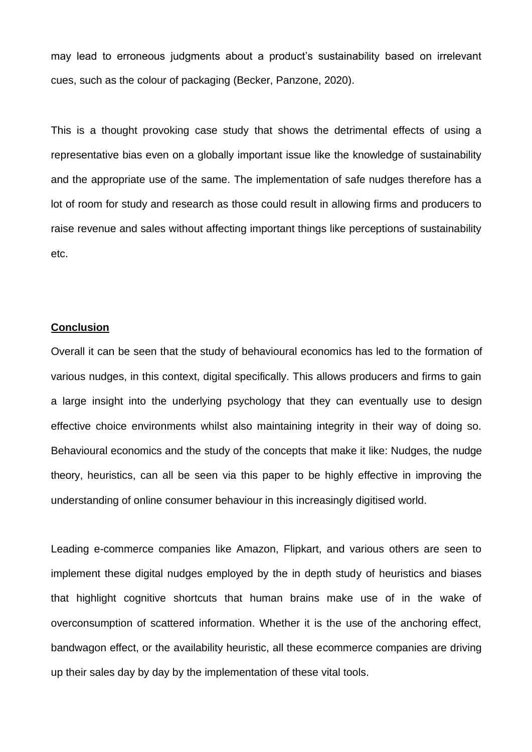may lead to erroneous judgments about a product's sustainability based on irrelevant cues, such as the colour of packaging (Becker, Panzone, 2020).

This is a thought provoking case study that shows the detrimental effects of using a representative bias even on a globally important issue like the knowledge of sustainability and the appropriate use of the same. The implementation of safe nudges therefore has a lot of room for study and research as those could result in allowing firms and producers to raise revenue and sales without affecting important things like perceptions of sustainability etc.

# **Conclusion**

Overall it can be seen that the study of behavioural economics has led to the formation of various nudges, in this context, digital specifically. This allows producers and firms to gain a large insight into the underlying psychology that they can eventually use to design effective choice environments whilst also maintaining integrity in their way of doing so. Behavioural economics and the study of the concepts that make it like: Nudges, the nudge theory, heuristics, can all be seen via this paper to be highly effective in improving the understanding of online consumer behaviour in this increasingly digitised world.

Leading e-commerce companies like Amazon, Flipkart, and various others are seen to implement these digital nudges employed by the in depth study of heuristics and biases that highlight cognitive shortcuts that human brains make use of in the wake of overconsumption of scattered information. Whether it is the use of the anchoring effect, bandwagon effect, or the availability heuristic, all these ecommerce companies are driving up their sales day by day by the implementation of these vital tools.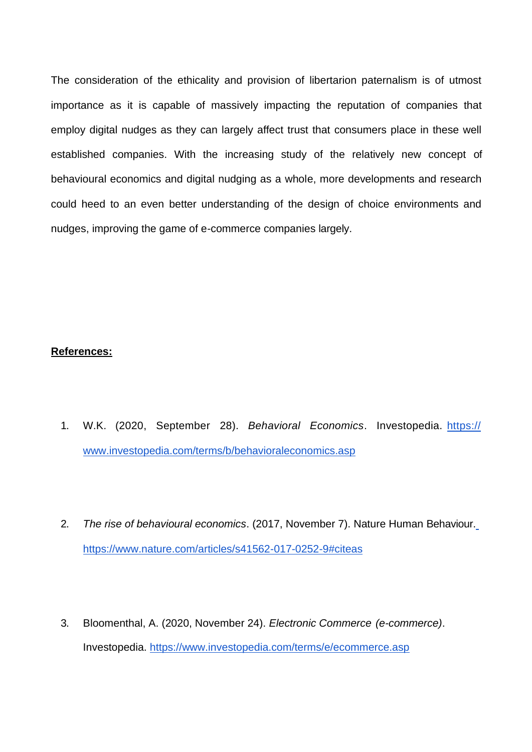The consideration of the ethicality and provision of libertarion paternalism is of utmost importance as it is capable of massively impacting the reputation of companies that employ digital nudges as they can largely affect trust that consumers place in these well established companies. With the increasing study of the relatively new concept of behavioural economics and digital nudging as a whole, more developments and research could heed to an even better understanding of the design of choice environments and nudges, improving the game of e-commerce companies largely.

## **References:**

- 1. W.K. (2020, September 28). *Behavioral Economics*. Investopedia. https:// [www.investopedia.com/terms/b/behavioraleconomics.asp](http://www.investopedia.com/terms/b/behavioraleconomics.asp)
- 2. *The rise of behavioural economics*. (2017, November 7). Nature Human Behaviour. https:/[/www.nature.com/articles/s41562-017-0252-9#citeas](http://www.nature.com/articles/s41562-017-0252-9#citeas)
- 3. Bloomenthal, A. (2020, November 24). *Electronic Commerce (e-commerce)*. Investopedia. https:/[/www.investopedia.com/terms/e/ecommerce.asp](http://www.investopedia.com/terms/e/ecommerce.asp)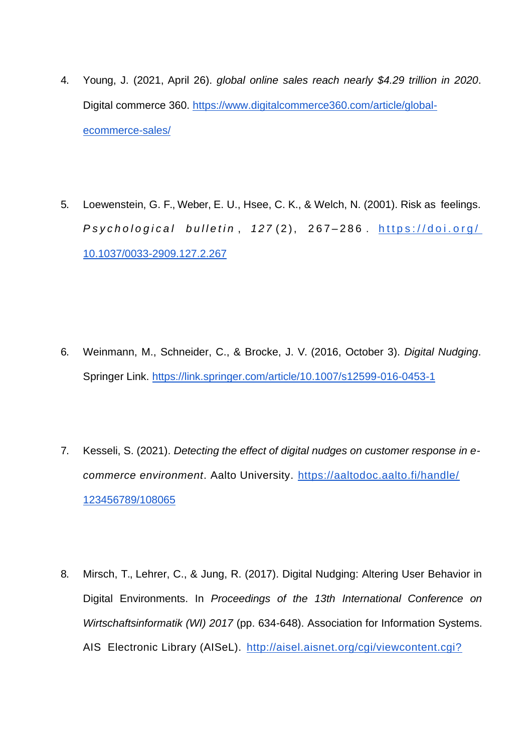- 4. Young, J. (2021, April 26). *global online sales reach nearly \$4.29 trillion in 2020*. Digital commerce 360. https://www.digitalcommerce360.com/article/globalecommerce-sales/
- 5. Loewenstein, G. F., Weber, E. U., Hsee, C. K., & Welch, N. (2001). Risk as feelings. *Psychological bulletin, 127(2), 267-286. https://doi.org/* 10.1037/0033-2909.127.2.267

- 6. Weinmann, M., Schneider, C., & Brocke, J. V. (2016, October 3). *Digital Nudging*. Springer Link. https://link.springer.com/article/10.1007/s12599-016-0453-1
- 7. Kesseli, S. (2021). *Detecting the effect of digital nudges on customer response in ecommerce environment*. Aalto University. https://aaltodoc.aalto.fi/handle/ 123456789/108065
- 8. Mirsch, T., Lehrer, C., & Jung, R. (2017). Digital Nudging: Altering User Behavior in Digital Environments. In *Proceedings of the 13th International Conference on Wirtschaftsinformatik (WI) 2017* (pp. 634-648). Association for Information Systems. AIS Electronic Library (AISeL). http://aisel.aisnet.org/cgi/viewcontent.cgi?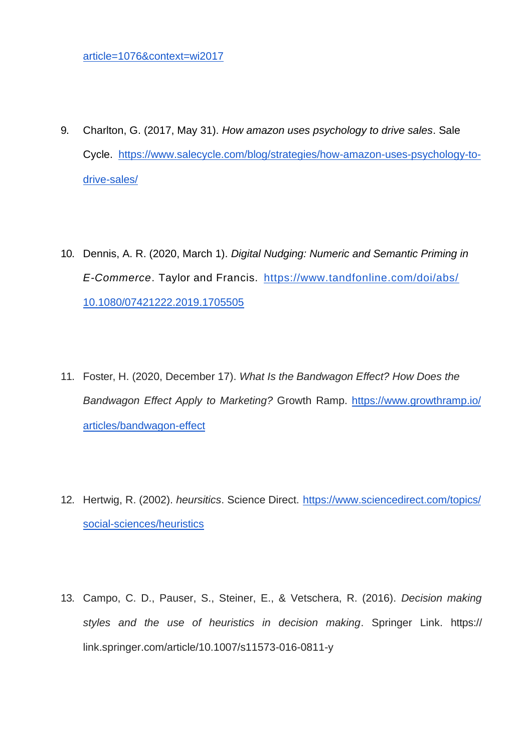- 9. Charlton, G. (2017, May 31). *How amazon uses psychology to drive sales*. Sale Cycle. https://www.salecycle.com/blog/strategies/how-amazon-uses-psychology-todrive-sales/
- 10. Dennis, A. R. (2020, March 1). *Digital Nudging: Numeric and Semantic Priming in E-Commerce*. Taylor and Francis. https://www.tandfonline.com/doi/abs/ 10.1080/07421222.2019.1705505
- 11. Foster, H. (2020, December 17). *What Is the Bandwagon Effect? How Does the Bandwagon Effect Apply to Marketing?* Growth Ramp. https://www.growthramp.io/ articles/bandwagon-effect
- 12. Hertwig, R. (2002). *heursitics*. Science Direct. https://www.sciencedirect.com/topics/ social-sciences/heuristics
- 13. Campo, C. D., Pauser, S., Steiner, E., & Vetschera, R. (2016). *Decision making styles and the use of heuristics in decision making*. Springer Link. https:// link.springer.com/article/10.1007/s11573-016-0811-y